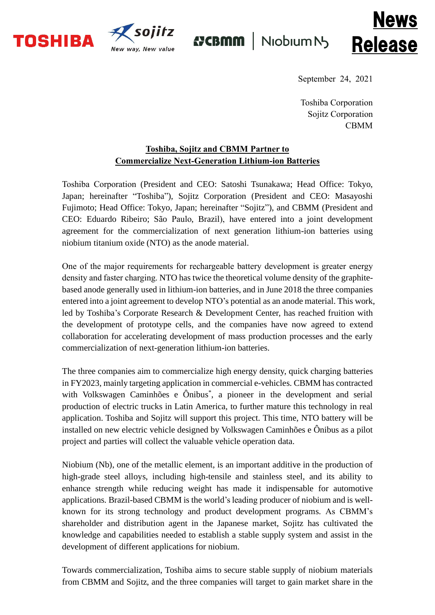



**{7CBMM** Niobium N



September 24, 2021

Toshiba Corporation Sojitz Corporation CBMM

## **Toshiba, Sojitz and CBMM Partner to Commercialize Next-Generation Lithium-ion Batteries**

Toshiba Corporation (President and CEO: Satoshi Tsunakawa; Head Office: Tokyo, Japan; hereinafter "Toshiba"), Sojitz Corporation (President and CEO: Masayoshi Fujimoto; Head Office: Tokyo, Japan; hereinafter "Sojitz"), and CBMM (President and CEO: Eduardo Ribeiro; São Paulo, Brazil), have entered into a joint development agreement for the commercialization of next generation lithium-ion batteries using niobium titanium oxide (NTO) as the anode material.

One of the major requirements for rechargeable battery development is greater energy density and faster charging. NTO has twice the theoretical volume density of the graphitebased anode generally used in lithium-ion batteries, and in June 2018 the three companies entered into a joint agreement to develop NTO's potential as an anode material. This work, led by Toshiba's Corporate Research & Development Center, has reached fruition with the development of prototype cells, and the companies have now agreed to extend collaboration for accelerating development of mass production processes and the early commercialization of next-generation lithium-ion batteries.

The three companies aim to commercialize high energy density, quick charging batteries in FY2023, mainly targeting application in commercial e-vehicles. CBMM has contracted with Volkswagen Caminhões e Ônibus\* , a pioneer in the development and serial production of electric trucks in Latin America, to further mature this technology in real application. Toshiba and Sojitz will support this project. This time, NTO battery will be installed on new electric vehicle designed by Volkswagen Caminhões e Ônibus as a pilot project and parties will collect the valuable vehicle operation data.

Niobium (Nb), one of the metallic element, is an important additive in the production of high-grade steel alloys, including high-tensile and stainless steel, and its ability to enhance strength while reducing weight has made it indispensable for automotive applications. Brazil-based CBMM is the world's leading producer of niobium and is wellknown for its strong technology and product development programs. As CBMM's shareholder and distribution agent in the Japanese market, Sojitz has cultivated the knowledge and capabilities needed to establish a stable supply system and assist in the development of different applications for niobium.

Towards commercialization, Toshiba aims to secure stable supply of niobium materials from CBMM and Sojitz, and the three companies will target to gain market share in the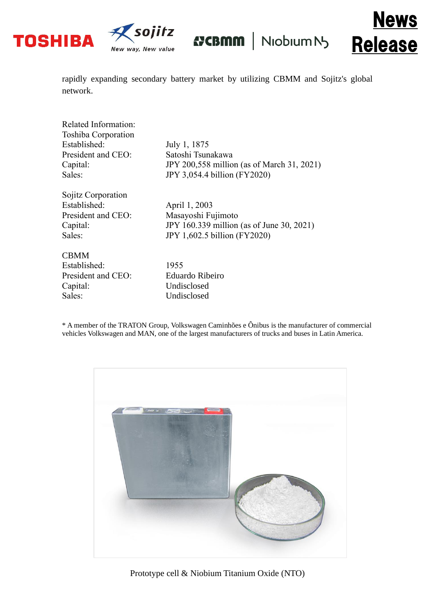



**{7CBMM** Niobium N



rapidly expanding secondary battery market by utilizing CBMM and Sojitz's global network.

| July 1, 1875                               |
|--------------------------------------------|
| Satoshi Tsunakawa                          |
| JPY 200,558 million (as of March 31, 2021) |
| JPY 3,054.4 billion (FY2020)               |
|                                            |
| April 1, 2003                              |
| Masayoshi Fujimoto                         |
| JPY 160.339 million (as of June 30, 2021)  |
| JPY 1,602.5 billion (FY2020)               |
|                                            |
| 1955                                       |
| <b>Eduardo Ribeiro</b>                     |
| Undisclosed                                |
| Undisclosed                                |
|                                            |

\* A member of the TRATON Group, Volkswagen Caminhões e Ônibus is the manufacturer of commercial vehicles Volkswagen and MAN, one of the largest manufacturers of trucks and buses in Latin America.



Prototype cell & Niobium Titanium Oxide (NTO)